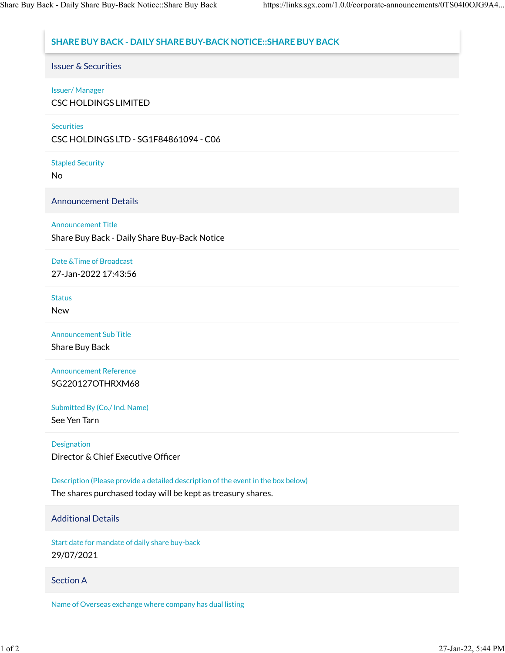# **SHARE BUY BACK - DAILY SHARE BUY-BACK NOTICE::SHARE BUY BACK**

Issuer & Securities

### Issuer/ Manager

CSC HOLDINGS LIMITED

### **Securities**

CSC HOLDINGS LTD - SG1F84861094 - C06

Stapled Security

No

Announcement Details

### Announcement Title

Share Buy Back - Daily Share Buy-Back Notice

Date &Time of Broadcast 27-Jan-2022 17:43:56

#### Status

New

Announcement Sub Title

Share Buy Back

Announcement Reference SG220127OTHRXM68

Submitted By (Co./ Ind. Name)

See Yen Tarn

Designation

Director & Chief Executive Officer

Description (Please provide a detailed description of the event in the box below)

The shares purchased today will be kept as treasury shares.

# Additional Details

Start date for mandate of daily share buy-back 29/07/2021

# Section A

Name of Overseas exchange where company has dual listing